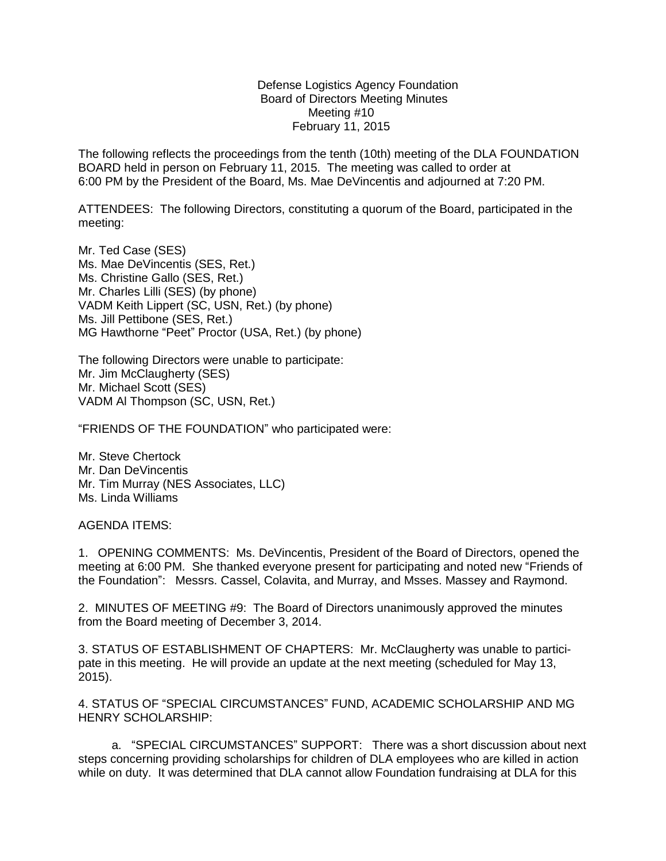Defense Logistics Agency Foundation Board of Directors Meeting Minutes Meeting #10 February 11, 2015

The following reflects the proceedings from the tenth (10th) meeting of the DLA FOUNDATION BOARD held in person on February 11, 2015. The meeting was called to order at 6:00 PM by the President of the Board, Ms. Mae DeVincentis and adjourned at 7:20 PM.

ATTENDEES: The following Directors, constituting a quorum of the Board, participated in the meeting:

Mr. Ted Case (SES) Ms. Mae DeVincentis (SES, Ret.) Ms. Christine Gallo (SES, Ret.) Mr. Charles Lilli (SES) (by phone) VADM Keith Lippert (SC, USN, Ret.) (by phone) Ms. Jill Pettibone (SES, Ret.) MG Hawthorne "Peet" Proctor (USA, Ret.) (by phone)

The following Directors were unable to participate: Mr. Jim McClaugherty (SES) Mr. Michael Scott (SES) VADM Al Thompson (SC, USN, Ret.)

"FRIENDS OF THE FOUNDATION" who participated were:

Mr. Steve Chertock Mr. Dan DeVincentis Mr. Tim Murray (NES Associates, LLC) Ms. Linda Williams

AGENDA ITEMS:

1. OPENING COMMENTS: Ms. DeVincentis, President of the Board of Directors, opened the meeting at 6:00 PM. She thanked everyone present for participating and noted new "Friends of the Foundation": Messrs. Cassel, Colavita, and Murray, and Msses. Massey and Raymond.

2. MINUTES OF MEETING #9: The Board of Directors unanimously approved the minutes from the Board meeting of December 3, 2014.

3. STATUS OF ESTABLISHMENT OF CHAPTERS: Mr. McClaugherty was unable to participate in this meeting. He will provide an update at the next meeting (scheduled for May 13, 2015).

4. STATUS OF "SPECIAL CIRCUMSTANCES" FUND, ACADEMIC SCHOLARSHIP AND MG HENRY SCHOLARSHIP:

 a. "SPECIAL CIRCUMSTANCES" SUPPORT: There was a short discussion about next steps concerning providing scholarships for children of DLA employees who are killed in action while on duty. It was determined that DLA cannot allow Foundation fundraising at DLA for this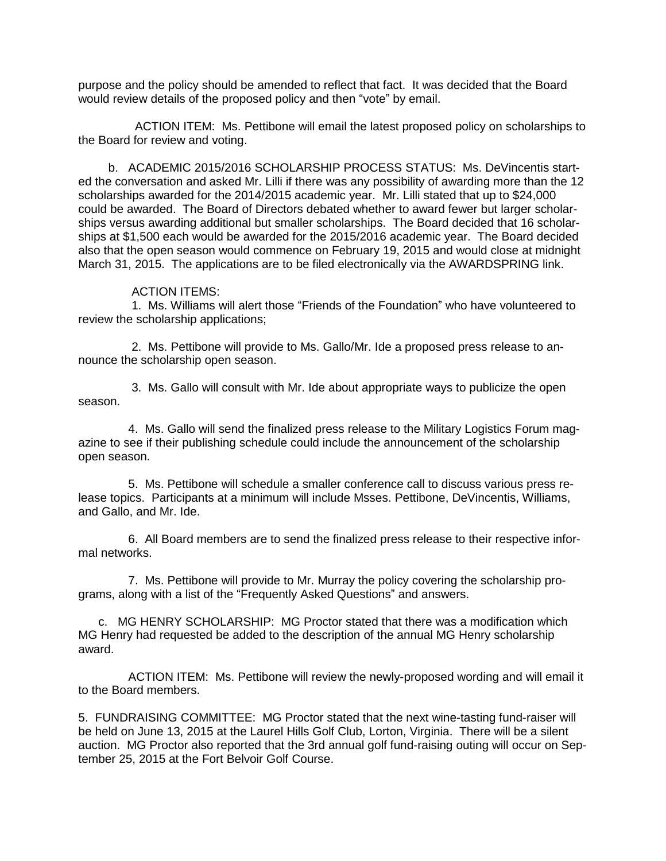purpose and the policy should be amended to reflect that fact. It was decided that the Board would review details of the proposed policy and then "vote" by email.

 ACTION ITEM: Ms. Pettibone will email the latest proposed policy on scholarships to the Board for review and voting.

 b. ACADEMIC 2015/2016 SCHOLARSHIP PROCESS STATUS: Ms. DeVincentis started the conversation and asked Mr. Lilli if there was any possibility of awarding more than the 12 scholarships awarded for the 2014/2015 academic year. Mr. Lilli stated that up to \$24,000 could be awarded. The Board of Directors debated whether to award fewer but larger scholarships versus awarding additional but smaller scholarships. The Board decided that 16 scholarships at \$1,500 each would be awarded for the 2015/2016 academic year. The Board decided also that the open season would commence on February 19, 2015 and would close at midnight March 31, 2015. The applications are to be filed electronically via the AWARDSPRING link.

## ACTION ITEMS:

 1. Ms. Williams will alert those "Friends of the Foundation" who have volunteered to review the scholarship applications;

 2. Ms. Pettibone will provide to Ms. Gallo/Mr. Ide a proposed press release to announce the scholarship open season.

 3. Ms. Gallo will consult with Mr. Ide about appropriate ways to publicize the open season.

 4. Ms. Gallo will send the finalized press release to the Military Logistics Forum magazine to see if their publishing schedule could include the announcement of the scholarship open season.

 5. Ms. Pettibone will schedule a smaller conference call to discuss various press release topics. Participants at a minimum will include Msses. Pettibone, DeVincentis, Williams, and Gallo, and Mr. Ide.

 6. All Board members are to send the finalized press release to their respective informal networks.

 7. Ms. Pettibone will provide to Mr. Murray the policy covering the scholarship programs, along with a list of the "Frequently Asked Questions" and answers.

 c. MG HENRY SCHOLARSHIP: MG Proctor stated that there was a modification which MG Henry had requested be added to the description of the annual MG Henry scholarship award.

 ACTION ITEM: Ms. Pettibone will review the newly-proposed wording and will email it to the Board members.

5. FUNDRAISING COMMITTEE: MG Proctor stated that the next wine-tasting fund-raiser will be held on June 13, 2015 at the Laurel Hills Golf Club, Lorton, Virginia. There will be a silent auction. MG Proctor also reported that the 3rd annual golf fund-raising outing will occur on September 25, 2015 at the Fort Belvoir Golf Course.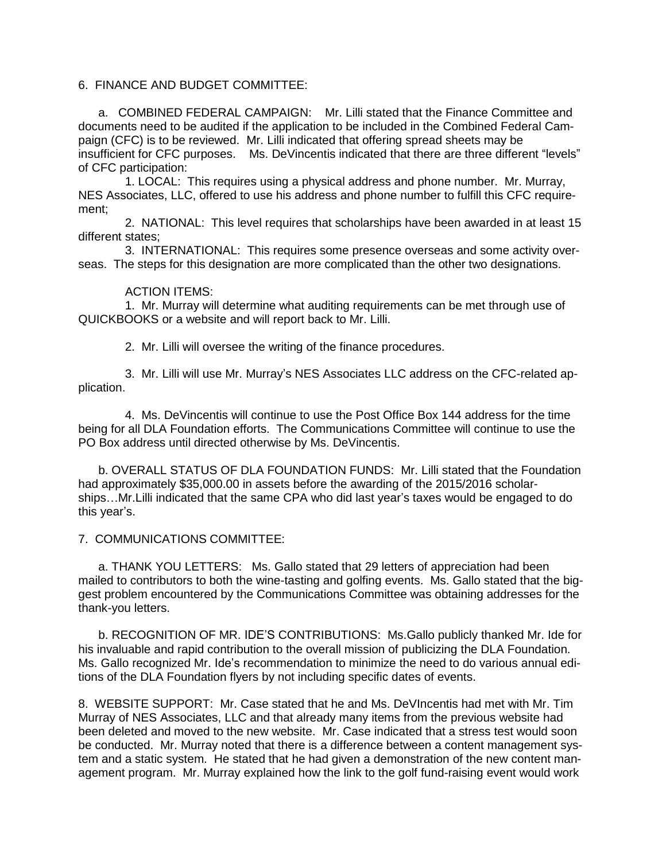## 6. FINANCE AND BUDGET COMMITTEE:

 a. COMBINED FEDERAL CAMPAIGN: Mr. Lilli stated that the Finance Committee and documents need to be audited if the application to be included in the Combined Federal Campaign (CFC) is to be reviewed. Mr. Lilli indicated that offering spread sheets may be insufficient for CFC purposes. Ms. DeVincentis indicated that there are three different "levels" of CFC participation:

 1. LOCAL: This requires using a physical address and phone number. Mr. Murray, NES Associates, LLC, offered to use his address and phone number to fulfill this CFC requirement;

 2. NATIONAL: This level requires that scholarships have been awarded in at least 15 different states;

 3. INTERNATIONAL: This requires some presence overseas and some activity overseas. The steps for this designation are more complicated than the other two designations.

## ACTION ITEMS:

 1. Mr. Murray will determine what auditing requirements can be met through use of QUICKBOOKS or a website and will report back to Mr. Lilli.

2. Mr. Lilli will oversee the writing of the finance procedures.

 3. Mr. Lilli will use Mr. Murray's NES Associates LLC address on the CFC-related application.

 4. Ms. DeVincentis will continue to use the Post Office Box 144 address for the time being for all DLA Foundation efforts. The Communications Committee will continue to use the PO Box address until directed otherwise by Ms. DeVincentis.

 b. OVERALL STATUS OF DLA FOUNDATION FUNDS: Mr. Lilli stated that the Foundation had approximately \$35,000.00 in assets before the awarding of the 2015/2016 scholarships…Mr.Lilli indicated that the same CPA who did last year's taxes would be engaged to do this year's.

7. COMMUNICATIONS COMMITTEE:

 a. THANK YOU LETTERS: Ms. Gallo stated that 29 letters of appreciation had been mailed to contributors to both the wine-tasting and golfing events. Ms. Gallo stated that the biggest problem encountered by the Communications Committee was obtaining addresses for the thank-you letters.

 b. RECOGNITION OF MR. IDE'S CONTRIBUTIONS: Ms.Gallo publicly thanked Mr. Ide for his invaluable and rapid contribution to the overall mission of publicizing the DLA Foundation. Ms. Gallo recognized Mr. Ide's recommendation to minimize the need to do various annual editions of the DLA Foundation flyers by not including specific dates of events.

8. WEBSITE SUPPORT: Mr. Case stated that he and Ms. DeVIncentis had met with Mr. Tim Murray of NES Associates, LLC and that already many items from the previous website had been deleted and moved to the new website. Mr. Case indicated that a stress test would soon be conducted. Mr. Murray noted that there is a difference between a content management system and a static system. He stated that he had given a demonstration of the new content management program. Mr. Murray explained how the link to the golf fund-raising event would work